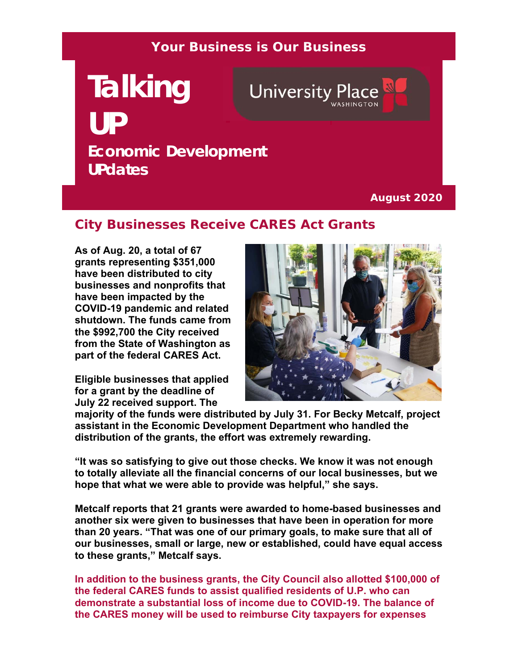#### **Your Business is Our Business**

# **Talking**  University Place **UP Economic Development UPdates**

**August 2020**

## **City Businesses Receive CARES Act Grants**

**As of Aug. 20, a total of 67 grants representing \$351,000 have been distributed to city businesses and nonprofits that have been impacted by the COVID-19 pandemic and related shutdown. The funds came from the \$992,700 the City received from the State of Washington as part of the federal CARES Act.** 

**Eligible businesses that applied for a grant by the deadline of July 22 received support. The** 



**majority of the funds were distributed by July 31. For Becky Metcalf, project assistant in the Economic Development Department who handled the distribution of the grants, the effort was extremely rewarding.**

**"It was so satisfying to give out those checks. We know it was not enough to totally alleviate all the financial concerns of our local businesses, but we hope that what we were able to provide was helpful," she says.** 

**Metcalf reports that 21 grants were awarded to home-based businesses and another six were given to businesses that have been in operation for more than 20 years. "That was one of our primary goals, to make sure that all of our businesses, small or large, new or established, could have equal access to these grants," Metcalf says.** 

**In addition to the business grants, the City Council also allotted \$100,000 of the federal CARES funds to assist qualified residents of U.P. who can demonstrate a substantial loss of income due to COVID-19. The balance of the CARES money will be used to reimburse City taxpayers for expenses**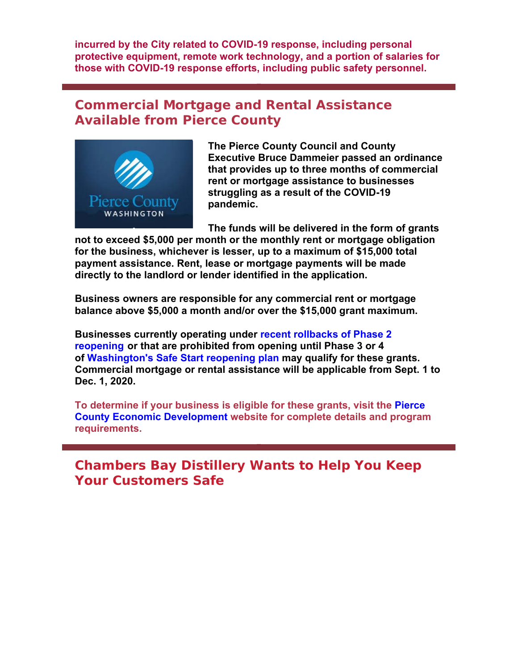**incurred by the City related to COVID-19 response, including personal protective equipment, remote work technology, and a portion of salaries for those with COVID-19 response efforts, including public safety personnel.** 

#### **Commercial Mortgage and Rental Assistance Available from Pierce County**



**The Pierce County Council and County Executive Bruce Dammeier passed an ordinance that provides up to three months of commercial rent or mortgage assistance to businesses struggling as a result of the COVID-19 pandemic.**

**The funds will be delivered in the form of grants** 

**not to exceed \$5,000 per month or the monthly rent or mortgage obligation for the business, whichever is lesser, up to a maximum of \$15,000 total payment assistance. Rent, lease or mortgage payments will be made directly to the landlord or lender identified in the application.**

**Business owners are responsible for any commercial rent or mortgage balance above \$5,000 a month and/or over the \$15,000 grant maximum.**

**Businesses currently operating under recent rollbacks of Phase 2 reopening or that are prohibited from opening until Phase 3 or 4 of Washington's Safe Start reopening plan may qualify for these grants. Commercial mortgage or rental assistance will be applicable from Sept. 1 to Dec. 1, 2020.**

**To determine if your business is eligible for these grants, visit the Pierce County Economic Development website for complete details and program requirements.**

**Chambers Bay Distillery Wants to Help You Keep Your Customers Safe**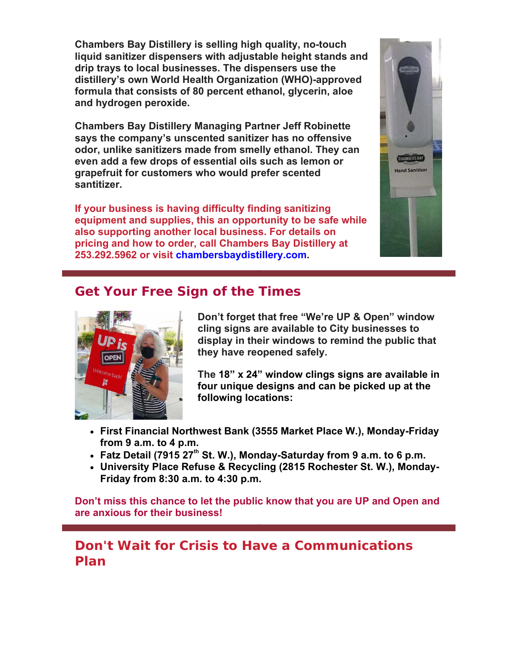**Chambers Bay Distillery is selling high quality, no-touch liquid sanitizer dispensers with adjustable height stands and drip trays to local businesses. The dispensers use the distillery's own World Health Organization (WHO)-approved formula that consists of 80 percent ethanol, glycerin, aloe and hydrogen peroxide.** 

**Chambers Bay Distillery Managing Partner Jeff Robinette says the company's unscented sanitizer has no offensive odor, unlike sanitizers made from smelly ethanol. They can even add a few drops of essential oils such as lemon or grapefruit for customers who would prefer scented santitizer.** 

**If your business is having difficulty finding sanitizing equipment and supplies, this an opportunity to be safe while also supporting another local business. For details on pricing and how to order, call Chambers Bay Distillery at 253.292.5962 or visit chambersbaydistillery.com.**



## **Get Your Free Sign of the Times**



**Don't forget that free "We're UP & Open" window cling signs are available to City businesses to display in their windows to remind the public that they have reopened safely.** 

**The 18" x 24" window clings signs are available in four unique designs and can be picked up at the following locations:** 

- **First Financial Northwest Bank (3555 Market Place W.), Monday-Friday from 9 a.m. to 4 p.m.**
- **Fatz Detail (7915 27th St. W.), Monday-Saturday from 9 a.m. to 6 p.m.**
- **University Place Refuse & Recycling (2815 Rochester St. W.), Monday-Friday from 8:30 a.m. to 4:30 p.m.**

**Don't miss this chance to let the public know that you are UP and Open and are anxious for their business!**

### **Don't Wait for Crisis to Have a Communications Plan**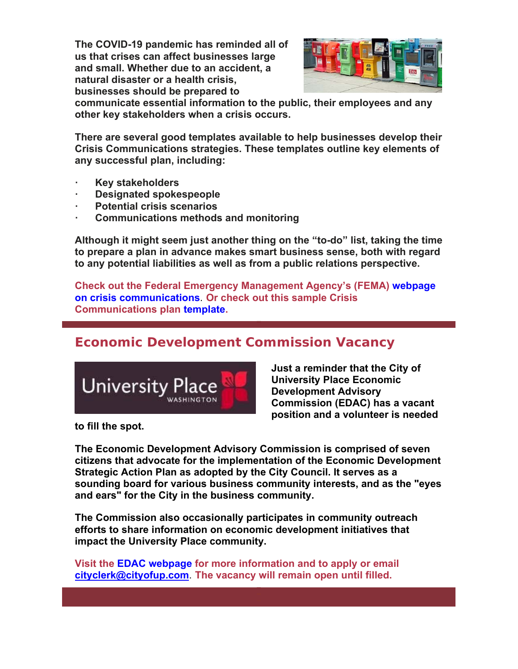**The COVID-19 pandemic has reminded all of us that crises can affect businesses large and small. Whether due to an accident, a natural disaster or a health crisis, businesses should be prepared to** 



**communicate essential information to the public, their employees and any other key stakeholders when a crisis occurs.**

**There are several good templates available to help businesses develop their Crisis Communications strategies. These templates outline key elements of any successful plan, including:**

- **ꞏ Key stakeholders**
- **ꞏ Designated spokespeople**
- **ꞏ Potential crisis scenarios**
- **ꞏ Communications methods and monitoring**

**Although it might seem just another thing on the "to-do" list, taking the time to prepare a plan in advance makes smart business sense, both with regard to any potential liabilities as well as from a public relations perspective.** 

**Check out the Federal Emergency Management Agency's (FEMA) webpage on crisis communications**. **Or check out this sample Crisis Communications plan template.**

### **Economic Development Commission Vacancy**



**Just a reminder that the City of University Place Economic Development Advisory Commission (EDAC) has a vacant position and a volunteer is needed** 

**to fill the spot.**

**The Economic Development Advisory Commission is comprised of seven citizens that advocate for the implementation of the Economic Development Strategic Action Plan as adopted by the City Council. It serves as a sounding board for various business community interests, and as the "eyes and ears" for the City in the business community.** 

**The Commission also occasionally participates in community outreach efforts to share information on economic development initiatives that impact the University Place community.** 

**Visit the EDAC webpage for more information and to apply or email cityclerk@cityofup.com**. **The vacancy will remain open until filled.**